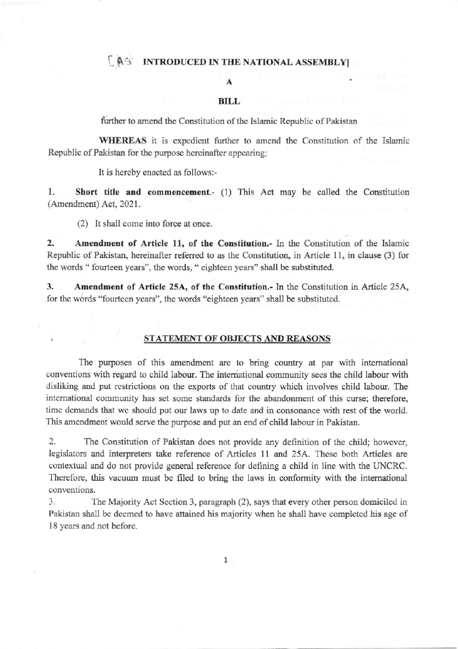## [AS INTRODUCED IN THE NATIONAL ASSEMBLY]

### A

#### BILL

further to amend the Constitution of the Islamic Republic of Pakistan

WHEREAS it is expedient further to amend the Constitution of the Islamic Republic of Pakistan for the purpose hereinafter appearing;

It is hereby enacted as follows:-

1. Short title and commencement.- (1) This Act may be called the Constitution (Amendment) Act, 2021.

(2) It shall come into force at once.

2. Amendment of Article 11, of the Constitution.- In the Constitution of the Islamic Republic of Pakistan, hereinafter referred to as the Constitution, in Article 11, in clause (3) for the words " fourteen years", the words, " eighteen years" shall be substituted.

3. Amendment of Article 25A, of the Constitution.- In the Constitution in Article 25A, for the words "fourteen years", the words "eighteen years" shall be substituted.

#### STATEMENT OF OBJECTS AND REASONS

The purposes of this amendment are to bring country at par with international conventions with regard to child labour. The international community sees the child labour with disliking and put restrictions on the exports of that country which involves child labour. The international community has set some standards for the abandonment of this curse; therefore, time demands that we should put our laws up to date and in consonance with rest of the world. This amendment would serve the purpose and put an end of child labour in Pakistan.

2. The Constitution of Pakistan does not provide any definition of the child; however, legislators and interpreters take reference of Articles 11 and 25A. These both Articles are contextual and do not provide general reference for defining a child in line with the UNCRC. Therefore, this vacuum must be filed to bring the laws in conformity with the international conventions.

3. The Majority Act Section 3, paragraph (2), says thal every other person domiciled in Pakistan shall be deemed to have attained his majority when he shall have completed his age of 18 years and not before.

1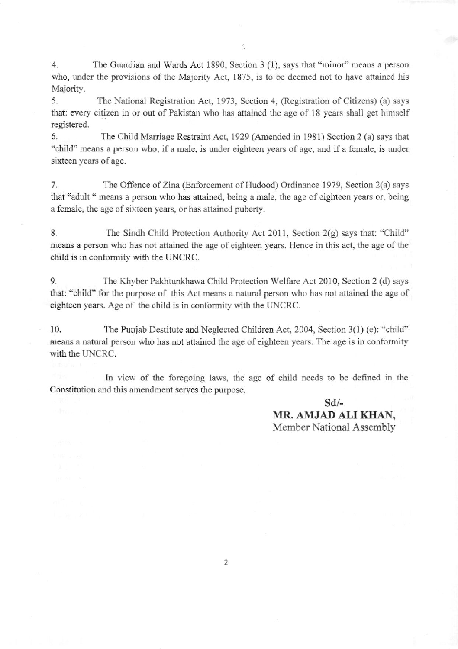4. The Guardian and Wards Act 1890, Section 3 (1), says that "minor" means a person who, under the provisions of the Majority Act, 1875, is to be deemed not to have attained his Majority.

5. The National Registration Act, 1973, Section 4, (Registration of Citizens) (a) says that: every citizen in or out of Pakistan who has attained the age of 18 years shall get himself registered.

6. The Child Maniagc Restraint Act, 1929 (Amended in 1981) Section 2 (a) says that "child" means a person who, if a male, is under eighteen years of age, and if a female, is under sixteen years of age.

7. The Offence of Zina (Enforcement of Hudood) Ordinance 1979, Section 2(a) says that "adult " means a person who has attained, being a male, the age of eighteen years or, being a female, the age of sixteen years, or has attaincd puberty.

8. The Sindh Child Protection Authority Act 2011, Section 2(g) says that: "Child" means a person who has not attaioed the age of cighteen years. Hence in this act, the age of the child is in conformity with the UNCRC.

9. The Khyber Pakhtunkhawa Child Protection Welfare Act 2010, Section 2 (d) says that: "child" for the purpose of this Act means a natural person who has not attained the age of cighleen years. Age of the child is in conformity with fie UNCRC.

10. The Punjab Destitute and Neglected Children Act, 2004, Section 3(1) (e): "child" means a natural person who has not attained the age of eighteen years. The age is in conformity with the UNCRC.

In view of the foregoing laws, the age of child needs to be defined in the Constitution and this amendment serves the purpose.

> sd/- MR. AMJAD ALI KHAN, Member National Assembly

2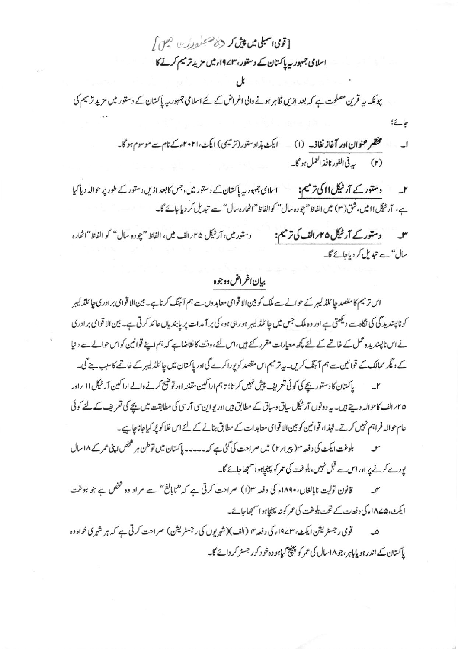[قومی اسمبلی میں پیش کر دی مسجد در س اسلامی جمہوریہ پاکستان کے دستور، ۶/۹۷۳ء میں مزید ترمیم کرنے کا

چونکہ یہ قرین مصلحت ہے کہ بعد ازیں ظاہر ہونے والی اغراض کے لئے اسلامی جمہور یہ پاکستان کے دستور میں مزید ترمیم کی

مختصر عنوان اور آغاز نفاذ۔ (۱) گیٹ ہذا دستور(ترمیمی) ایکٹ،۲۰۲۱ءکے نام سے موسوم ہو گا۔  $\overline{\phantom{0}}$ (۲) په في الفور نافذ العمل ہو گا۔

جائے؛

دستور کے آر ٹیکل ااکی ترمیم: اسلامی جمہوریہ پاکتان کے دستور میں، جس کا بعد ازیں دستور کے طور پر حوالہ دیا گیا  $-$ r ہے، آرٹیکل اامیں،شق(۳) میں الفاظ"چو دہ سال" کوالفاظ"اٹھارہ سال" سے تبدیل کر دیاجائے گا۔

دستورکے آر ٹیکل ۲۵؍ الف کی ترمیم: دستور میں، آر ٹیکل ۲۵؍ الف میں، الفاظ "چودہ سال" کو الفاظ"اٹھارہ سال" سے تبدیل کر دیاجائے گا۔

# بيان اغراض ووجوه

اس تر میم کا مقصد چا ئلڈ لیبر کے حوالے سے ملک کو بین الا قوامی معاہدوں سے ہم آ ہنگ کرنا ہے۔ بین الا قوامی برادری چا ئلڈ لیبر کو ناپسندید گی کی نگاہ سے دیکھتی ہے اور وہ ملک جس میں چائلڈ لیبر ہو رہی ہو، کی بر آمدات پر پابندیاں عائد کرتی ہے۔ بین الا قوامی برادری نے اس ناپسندیدہ عمل کے خاتمے کے لئے کچھ معیارات مقرر کئے ہیں،اس لئے،وقت کا تقاضاہے کہ ہم اپنے قوانین کواس حوالے سے دنیا کے دیگر ممالک کے قوانین سے ہم آ ہنگ کریں۔ یہ ترمیم اس مقصد کو پوراکرے گی اور پاکستان میں جا کلڈ لیبر کے خاتمے کاسب پنے گی۔

پاکستان کا دستوریچے کی کوئی تعریف پیش نہیں کر تا؛ تاہم اراکین مقننہ اور تو ختیج کرنے والے اراکین آر ٹیکل ۱۱ براور  $-1$ ۲۵؍الف کاحوالہ دیتے ہیں۔ یہ دونوں آر ٹیکل ساق وساق کے مطابق ہیں اور یو این سی آرسی کی مطابقت میں بچے کی تعریف کے لئے کوئی عام حوالہ فراہم نہیں کرتے۔لہٰذا، قوانین کو بین الا قوامی معاہدات کے مطابق بنانے کے لئے اس خلا کو پُر کیاجاناجاہے۔

بلوغت ایکٹ کی دفعہ مع(پیرار ۲) میں صراحت کی گئی ہے کہ۔۔۔۔۔ پاکستان میں توطن ہر فتحض اپنی عمر کے ۱۸ سال یورے کرنے پر اور اس سے قبل نہیں، بلوغت کی عمر کو پہنچاہو استہجاجائے گا۔

قانون تولیت ناپالغاں،۱۸۹۰ء کی دفعہ ۳(۱) صراحت کرتی ہے کہ"ناپالغ" ہے مراد وہ گمخص ہے جو بلوغت ایکٹ،۱۸۷۵ء کی دفعات کے تحت بلوغت کی عمر کو نہ پہنچاہوا سمجھاجائے۔

قومی رجسٹریشن ایکٹ، ۳۔۱۹۷ء کی دفعہ ۳ (الف)(شہریوں کی رجسٹریشن) صراحت کرتی ہے کہ ہر شہر کی خواہ دہ پاکستان کے اندر ہو پایاہر ، جو ۱۸سال کی عمر کو پہنچ گیاہو وہ خو د کور جسٹر کر دائے گا۔